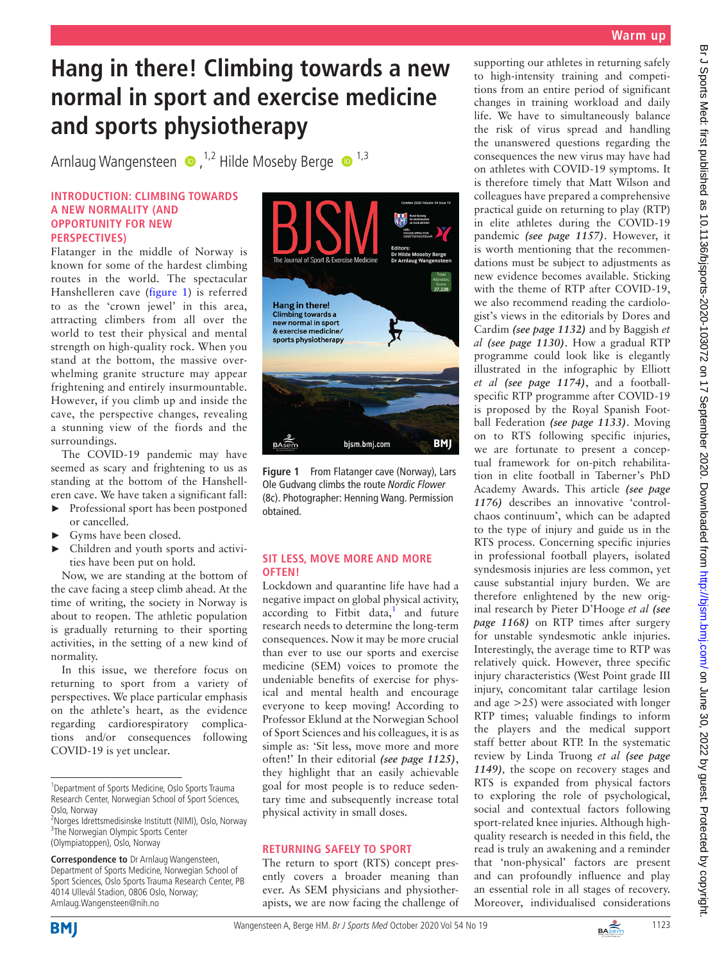## **Warm up**

# **Hang in there! Climbing towards a new normal in sport and exercise medicine and sports physiotherapy**

ArnlaugWangensteen  $\bullet$ , <sup>1,2</sup> Hilde Moseby Berge  $\bullet$ <sup>1,3</sup>

#### **INTRODUCTION: CLIMBING TOWARDS A NEW NORMALITY (AND OPPORTUNITY FOR NEW PERSPECTIVES)**

Flatanger in the middle of Norway is known for some of the hardest climbing routes in the world. The spectacular Hanshelleren cave ([figure](#page-0-0) 1) is referred to as the 'crown jewel' in this area, attracting climbers from all over the world to test their physical and mental strength on high-quality rock. When you stand at the bottom, the massive overwhelming granite structure may appear frightening and entirely insurmountable. However, if you climb up and inside the cave, the perspective changes, revealing a stunning view of the fiords and the surroundings.

The COVID-19 pandemic may have seemed as scary and frightening to us as standing at the bottom of the Hanshelleren cave. We have taken a significant fall:

- ► Professional sport has been postponed or cancelled.
- ► Gyms have been closed.
- ► Children and youth sports and activities have been put on hold.

Now, we are standing at the bottom of the cave facing a steep climb ahead. At the time of writing, the society in Norway is about to reopen. The athletic population is gradually returning to their sporting activities, in the setting of a new kind of normality.

In this issue, we therefore focus on returning to sport from a variety of perspectives. We place particular emphasis on the athlete's heart, as the evidence regarding cardiorespiratory complications and/or consequences following COVID-19 is yet unclear.



**Figure 1** From Flatanger cave (Norway), Lars Ole Gudvang climbs the route *Nordic Flower* (8c). Photographer: Henning Wang. Permission obtained.

### <span id="page-0-0"></span>**SIT LESS, MOVE MORE AND MORE OFTEN!**

Lockdown and quarantine life have had a negative impact on global physical activity, according to Fitbit data,<sup>1</sup> and future research needs to determine the long-term consequences. Now it may be more crucial than ever to use our sports and exercise medicine (SEM) voices to promote the undeniable benefits of exercise for physical and mental health and encourage everyone to keep moving! According to Professor Eklund at the Norwegian School of Sport Sciences and his colleagues, it is as simple as: 'Sit less, move more and more often!' In their editorial *(see page 1125)*, they highlight that an easily achievable goal for most people is to reduce sedentary time and subsequently increase total physical activity in small doses.

### **RETURNING SAFELY TO SPORT**

The return to sport (RTS) concept presently covers a broader meaning than ever. As SEM physicians and physiotherapists, we are now facing the challenge of supporting our athletes in returning safely to high-intensity training and competitions from an entire period of significant changes in training workload and daily life. We have to simultaneously balance the risk of virus spread and handling the unanswered questions regarding the consequences the new virus may have had on athletes with COVID-19 symptoms. It is therefore timely that Matt Wilson and colleagues have prepared a comprehensive practical guide on returning to play (RTP) in elite athletes during the COVID-19 pandemic *(see page 1157)*. However, it is worth mentioning that the recommendations must be subject to adjustments as new evidence becomes available. Sticking with the theme of RTP after COVID-19, we also recommend reading the cardiologist's views in the editorials by Dores and Cardim *(see page 1132)* and by Baggish *et al (see page 1130)*. How a gradual RTP programme could look like is elegantly illustrated in the infographic by Elliott *et al (see page 1174)*, and a footballspecific RTP programme after COVID-19 is proposed by the Royal Spanish Football Federation *(see page 1133)*. Moving on to RTS following specific injuries, we are fortunate to present a conceptual framework for on-pitch rehabilitation in elite football in Taberner's PhD Academy Awards. This article *(see page 1176)* describes an innovative 'controlchaos continuum', which can be adapted to the type of injury and guide us in the RTS process. Concerning specific injuries in professional football players, isolated syndesmosis injuries are less common, yet cause substantial injury burden. We are therefore enlightened by the new original research by Pieter D'Hooge *et al (see page 1168)* on RTP times after surgery for unstable syndesmotic ankle injuries. Interestingly, the average time to RTP was relatively quick. However, three specific injury characteristics (West Point grade III injury, concomitant talar cartilage lesion and age >25) were associated with longer RTP times; valuable findings to inform the players and the medical support staff better about RTP. In the systematic review by Linda Truong *et al (see page 1149),* the scope on recovery stages and RTS is expanded from physical factors to exploring the role of psychological, social and contextual factors following sport-related knee injuries. Although highquality research is needed in this field, the read is truly an awakening and a reminder that 'non-physical' factors are present and can profoundly influence and play an essential role in all stages of recovery. Moreover, individualised considerations





<sup>&</sup>lt;sup>1</sup> Department of Sports Medicine, Oslo Sports Trauma Research Center, Norwegian School of Sport Sciences, Oslo, Norway

<sup>&</sup>lt;sup>2</sup>Norges Idrettsmedisinske Institutt (NIMI), Oslo, Norway <sup>3</sup>The Norwegian Olympic Sports Center (Olympiatoppen), Oslo, Norway

**Correspondence to** Dr Arnlaug Wangensteen, Department of Sports Medicine, Norwegian School of Sport Sciences, Oslo Sports Trauma Research Center, PB 4014 Ullevål Stadion, 0806 Oslo, Norway; Arnlaug.Wangensteen@nih.no